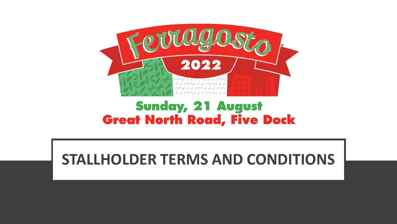

#### **Sunday, 21 August Great North Road, Five Dock**

#### **STALLHOLDER TERMS AND CONDITIONS**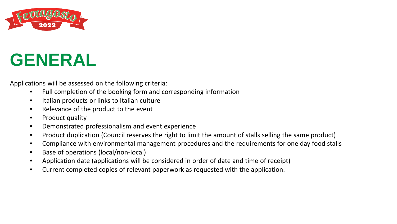

#### **GENERAL**

Applications will be assessed on the following criteria:

- Full completion of the booking form and corresponding information
- Italian products or links to Italian culture
- Relevance of the product to the event
- Product quality
- Demonstrated professionalism and event experience
- Product duplication (Council reserves the right to limit the amount of stalls selling the same product)
- Compliance with environmental management procedures and the requirements for one day food stalls
- Base of operations (local/non-local)
- Application date (applications will be considered in order of date and time of receipt)
- Current completed copies of relevant paperwork as requested with the application.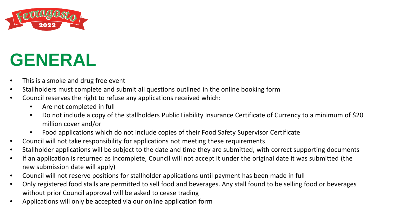

#### **GENERAL**

- This is a smoke and drug free event
- Stallholders must complete and submit all questions outlined in the online booking form
- Council reserves the right to refuse any applications received which:
	- Are not completed in full
	- Do not include a copy of the stallholders Public Liability Insurance Certificate of Currency to a minimum of \$20 million cover and/or
	- Food applications which do not include copies of their Food Safety Supervisor Certificate
- Council will not take responsibility for applications not meeting these requirements
- Stallholder applications will be subject to the date and time they are submitted, with correct supporting documents
- If an application is returned as incomplete, Council will not accept it under the original date it was submitted (the new submission date will apply)
- Council will not reserve positions for stallholder applications until payment has been made in full
- Only registered food stalls are permitted to sell food and beverages. Any stall found to be selling food or beverages without prior Council approval will be asked to cease trading
- Applications will only be accepted via our online application form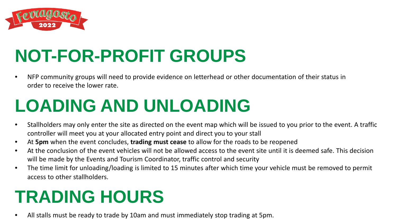

### **NOT-FOR-PROFIT GROUPS**

• NFP community groups will need to provide evidence on letterhead or other documentation of their status in order to receive the lower rate.

### **LOADING AND UNLOADING**

- Stallholders may only enter the site as directed on the event map which will be issued to you prior to the event. A traffic controller will meet you at your allocated entry point and direct you to your stall
- At **5pm** when the event concludes, **trading must cease** to allow for the roads to be reopened
- At the conclusion of the event vehicles will not be allowed access to the event site until it is deemed safe. This decision will be made by the Events and Tourism Coordinator, traffic control and security
- The time limit for unloading/loading is limited to 15 minutes after which time your vehicle must be removed to permit access to other stallholders.

#### **TRADING HOURS**

• All stalls must be ready to trade by 10am and must immediately stop trading at 5pm.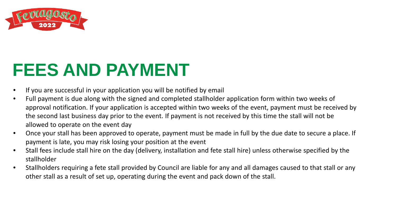

#### **FEES AND PAYMENT**

- If you are successful in your application you will be notified by email
- Full payment is due along with the signed and completed stallholder application form within two weeks of approval notification. If your application is accepted within two weeks of the event, payment must be received by the second last business day prior to the event. If payment is not received by this time the stall will not be allowed to operate on the event day
- Once your stall has been approved to operate, payment must be made in full by the due date to secure a place. If payment is late, you may risk losing your position at the event
- Stall fees include stall hire on the day (delivery, installation and fete stall hire) unless otherwise specified by the stallholder
- Stallholders requiring a fete stall provided by Council are liable for any and all damages caused to that stall or any other stall as a result of set up, operating during the event and pack down of the stall.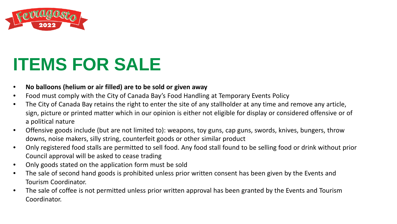

#### **ITEMS FOR SALE**

#### • **No balloons (helium or air filled) are to be sold or given away**

- Food must comply with the City of Canada Bay's Food Handling at Temporary Events Policy
- The City of Canada Bay retains the right to enter the site of any stallholder at any time and remove any article, sign, picture or printed matter which in our opinion is either not eligible for display or considered offensive or of a political nature
- Offensive goods include (but are not limited to): weapons, toy guns, cap guns, swords, knives, bungers, throw downs, noise makers, silly string, counterfeit goods or other similar product
- Only registered food stalls are permitted to sell food. Any food stall found to be selling food or drink without prior Council approval will be asked to cease trading
- Only goods stated on the application form must be sold
- The sale of second hand goods is prohibited unless prior written consent has been given by the Events and Tourism Coordinator.
- The sale of coffee is not permitted unless prior written approval has been granted by the Events and Tourism Coordinator.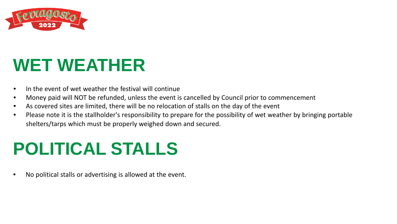

#### **WET WEATHER**

- In the event of wet weather the festival will continue
- Money paid will NOT be refunded, unless the event is cancelled by Council prior to commencement
- As covered sites are limited, there will be no relocation of stalls on the day of the event
- Please note it is the stallholder's responsibility to prepare for the possibility of wet weather by bringing portable shelters/tarps which must be properly weighed down and secured.

### **POLITICAL STALLS**

• No political stalls or advertising is allowed at the event.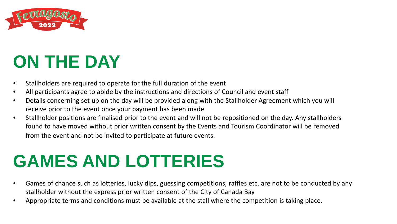

### **ON THE DAY**

- Stallholders are required to operate for the full duration of the event
- All participants agree to abide by the instructions and directions of Council and event staff
- Details concerning set up on the day will be provided along with the Stallholder Agreement which you will receive prior to the event once your payment has been made
- Stallholder positions are finalised prior to the event and will not be repositioned on the day. Any stallholders found to have moved without prior written consent by the Events and Tourism Coordinator will be removed from the event and not be invited to participate at future events.

#### **GAMES AND LOTTERIES**

- Games of chance such as lotteries, lucky dips, guessing competitions, raffles etc. are not to be conducted by any stallholder without the express prior written consent of the City of Canada Bay
- Appropriate terms and conditions must be available at the stall where the competition is taking place.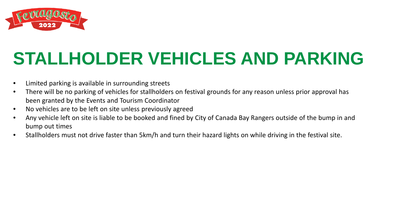

# **STALLHOLDER VEHICLES AND PARKING**

- Limited parking is available in surrounding streets
- There will be no parking of vehicles for stallholders on festival grounds for any reason unless prior approval has been granted by the Events and Tourism Coordinator
- No vehicles are to be left on site unless previously agreed
- Any vehicle left on site is liable to be booked and fined by City of Canada Bay Rangers outside of the bump in and bump out times
- Stallholders must not drive faster than 5km/h and turn their hazard lights on while driving in the festival site.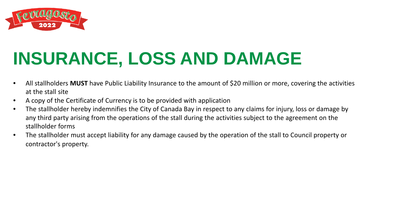

## **INSURANCE, LOSS AND DAMAGE**

- All stallholders **MUST** have Public Liability Insurance to the amount of \$20 million or more, covering the activities at the stall site
- A copy of the Certificate of Currency is to be provided with application
- The stallholder hereby indemnifies the City of Canada Bay in respect to any claims for injury, loss or damage by any third party arising from the operations of the stall during the activities subject to the agreement on the stallholder forms
- The stallholder must accept liability for any damage caused by the operation of the stall to Council property or contractor's property.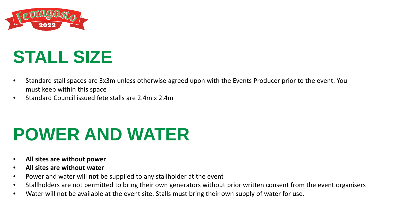

### **STALL SIZE**

- Standard stall spaces are 3x3m unless otherwise agreed upon with the Events Producer prior to the event. You must keep within this space
- Standard Council issued fete stalls are 2.4m x 2.4m

### **POWER AND WATER**

- **All sites are without power**
- **All sites are without water**
- Power and water will **not** be supplied to any stallholder at the event
- Stallholders are not permitted to bring their own generators without prior written consent from the event organisers
- Water will not be available at the event site. Stalls must bring their own supply of water for use.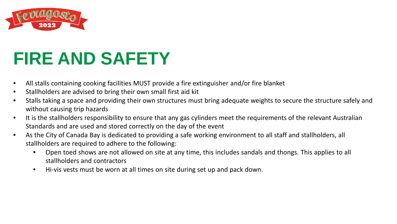

### **FIRE AND SAFETY**

- All stalls containing cooking facilities MUST provide a fire extinguisher and/or fire blanket
- Stallholders are advised to bring their own small first aid kit
- Stalls taking a space and providing their own structures must bring adequate weights to secure the structure safely and without causing trip hazards
- It is the stallholders responsibility to ensure that any gas cylinders meet the requirements of the relevant Australian Standards and are used and stored correctly on the day of the event
- As the City of Canada Bay is dedicated to providing a safe working environment to all staff and stallholders, all stallholders are required to adhere to the following:
	- Open toed shows are not allowed on site at any time, this includes sandals and thongs. This applies to all stallholders and contractors
	- Hi-vis vests must be worn at all times on site during set up and pack down.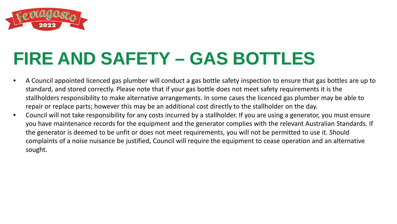

### **FIRE AND SAFETY – GAS BOTTLES**

- A Council appointed licenced gas plumber will conduct a gas bottle safety inspection to ensure that gas bottles are up to standard, and stored correctly. Please note that if your gas bottle does not meet safety requirements it is the stallholders responsibility to make alternative arrangements. In some cases the licenced gas plumber may be able to repair or replace parts; however this may be an additional cost directly to the stallholder on the day.
- Council will not take responsibility for any costs incurred by a stallholder. If you are using a generator, you must ensure you have maintenance records for the equipment and the generator complies with the relevant Australian Standards. If the generator is deemed to be unfit or does not meet requirements, you will not be permitted to use it. Should complaints of a noise nuisance be justified, Council will require the equipment to cease operation and an alternative sought.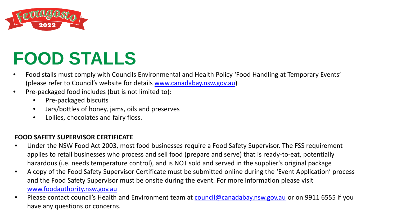

### **FOOD STALLS**

- Food stalls must comply with Councils Environmental and Health Policy 'Food Handling at Temporary Events' (please refer to Council's website for details [www.canadabay.nsw.gov.au\)](http://www.canadabay.nsw.gov.au/)
- Pre-packaged food includes (but is not limited to):
	- Pre-packaged biscuits
	- Jars/bottles of honey, jams, oils and preserves
	- Lollies, chocolates and fairy floss.

#### **FOOD SAFETY SUPERVISOR CERTIFICATE**

- Under the NSW Food Act 2003, most food businesses require a Food Safety Supervisor. The FSS requirement applies to retail businesses who process and sell food (prepare and serve) that is ready-to-eat, potentially hazardous (i.e. needs temperature control), and is NOT sold and served in the supplier's original package
- A copy of the Food Safety Supervisor Certificate must be submitted online during the 'Event Application' process and the Food Safety Supervisor must be onsite during the event. For more information please visit [www.foodauthority.nsw.gov.au](http://www.foodauthority.nsw.gov.au/)
- Please contact council's Health and Environment team at [council@canadabay.nsw.gov.au](mailto:council@canadabay.nsw.gov.au) or on 9911 6555 if you have any questions or concerns.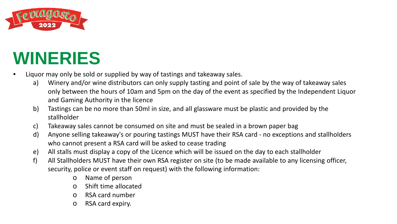

### **WINERIES**

- Liquor may only be sold or supplied by way of tastings and takeaway sales.
	- a) Winery and/or wine distributors can only supply tasting and point of sale by the way of takeaway sales only between the hours of 10am and 5pm on the day of the event as specified by the Independent Liquor and Gaming Authority in the licence
	- b) Tastings can be no more than 50ml in size, and all glassware must be plastic and provided by the stallholder
	- c) Takeaway sales cannot be consumed on site and must be sealed in a brown paper bag
	- d) Anyone selling takeaway's or pouring tastings MUST have their RSA card no exceptions and stallholders who cannot present a RSA card will be asked to cease trading
	- e) All stalls must display a copy of the Licence which will be issued on the day to each stallholder
	- f) All Stallholders MUST have their own RSA register on site (to be made available to any licensing officer, security, police or event staff on request) with the following information:
		- o Name of person
		- o Shift time allocated
		- o RSA card number
		- o RSA card expiry.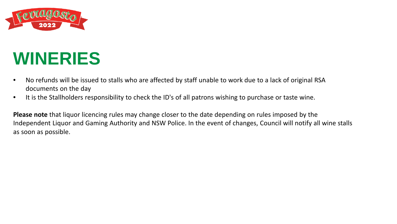

#### **WINERIES**

- No refunds will be issued to stalls who are affected by staff unable to work due to a lack of original RSA documents on the day
- It is the Stallholders responsibility to check the ID's of all patrons wishing to purchase or taste wine.

**Please note** that liquor licencing rules may change closer to the date depending on rules imposed by the Independent Liquor and Gaming Authority and NSW Police. In the event of changes, Council will notify all wine stalls as soon as possible.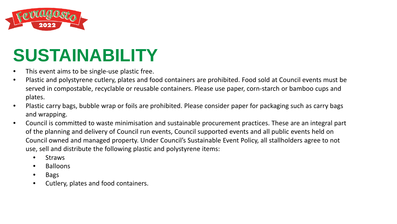

### **SUSTAINABILITY**

- This event aims to be single-use plastic free.
- Plastic and polystyrene cutlery, plates and food containers are prohibited. Food sold at Council events must be served in compostable, recyclable or reusable containers. Please use paper, corn-starch or bamboo cups and plates.
- Plastic carry bags, bubble wrap or foils are prohibited. Please consider paper for packaging such as carry bags and wrapping.
- Council is committed to waste minimisation and sustainable procurement practices. These are an integral part of the planning and delivery of Council run events, Council supported events and all public events held on Council owned and managed property. Under Council's Sustainable Event Policy, all stallholders agree to not use, sell and distribute the following plastic and polystyrene items:
	- Straws
	- Balloons
	- Bags
	- Cutlery, plates and food containers.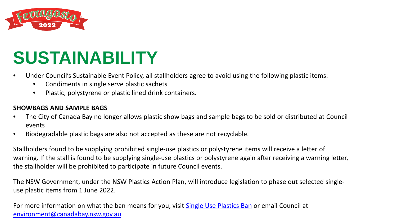

### **SUSTAINABILITY**

- Under Council's Sustainable Event Policy, all stallholders agree to avoid using the following plastic items:
	- Condiments in single serve plastic sachets
	- Plastic, polystyrene or plastic lined drink containers.

#### **SHOWBAGS AND SAMPLE BAGS**

- The City of Canada Bay no longer allows plastic show bags and sample bags to be sold or distributed at Council events
- Biodegradable plastic bags are also not accepted as these are not recyclable.

Stallholders found to be supplying prohibited single-use plastics or polystyrene items will receive a letter of warning. If the stall is found to be supplying single-use plastics or polystyrene again after receiving a warning letter, the stallholder will be prohibited to participate in future Council events.

The NSW Government, under the NSW Plastics Action Plan, will introduce legislation to phase out selected singleuse plastic items from 1 June 2022.

For more information on what the ban means for you, visit [Single Use Plastics Ban](https://dpe.mysocialpinpoint.com.au/plastics-ban-nsw) or email Council at [environment@canadabay.nsw.gov.au](mailto:environment@canadabay.nsw.gov.au)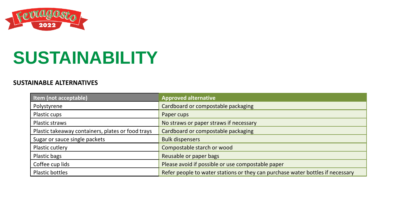

#### **SUSTAINABILITY**

#### **SUSTAINABLE ALTERNATIVES**

| Item (not acceptable)                             | <b>Approved alternative</b>                                                    |
|---------------------------------------------------|--------------------------------------------------------------------------------|
| Polystyrene                                       | Cardboard or compostable packaging                                             |
| Plastic cups                                      | Paper cups                                                                     |
| Plastic straws                                    | No straws or paper straws if necessary                                         |
| Plastic takeaway containers, plates or food trays | Cardboard or compostable packaging                                             |
| Sugar or sauce single packets                     | <b>Bulk dispensers</b>                                                         |
| Plastic cutlery                                   | Compostable starch or wood                                                     |
| Plastic bags                                      | Reusable or paper bags                                                         |
| Coffee cup lids                                   | Please avoid if possible or use compostable paper                              |
| Plastic bottles                                   | Refer people to water stations or they can purchase water bottles if necessary |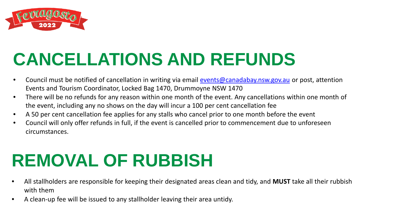

# **CANCELLATIONS AND REFUNDS**

- Council must be notified of cancellation in writing via email [events@canadabay.nsw.gov.au](mailto:events@canadabay.nsw.gov.au) or post, attention Events and Tourism Coordinator, Locked Bag 1470, Drummoyne NSW 1470
- There will be no refunds for any reason within one month of the event. Any cancellations within one month of the event, including any no shows on the day will incur a 100 per cent cancellation fee
- A 50 per cent cancellation fee applies for any stalls who cancel prior to one month before the event
- Council will only offer refunds in full, if the event is cancelled prior to commencement due to unforeseen circumstances.

### **REMOVAL OF RUBBISH**

- All stallholders are responsible for keeping their designated areas clean and tidy, and **MUST** take all their rubbish with them
- A clean-up fee will be issued to any stallholder leaving their area untidy.